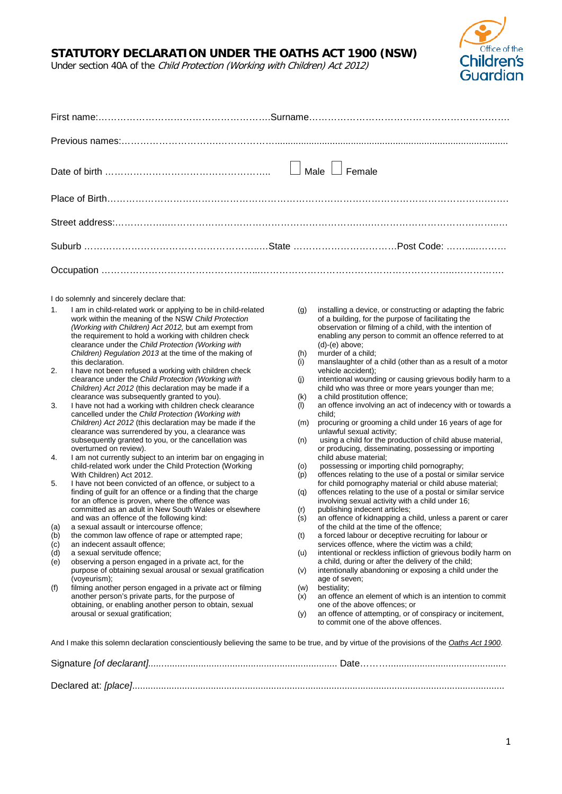## **STATUTORY DECLARATION UNDER THE OATHS ACT 1900 (NSW)**

*Coffice of the*<br>Children's<br>Guardian

Under section 40A of the Child Protection (Working with Children) Act 2012)

|                                                                      | $\Box$ Male $\Box$ Female<br>I do solemnly and sincerely declare that:<br>I am in child-related work or applying to be in child-related<br>installing a device, or constructing or adapting the fabric<br>(g)<br>work within the meaning of the NSW Child Protection<br>of a building, for the purpose of facilitating the<br>observation or filming of a child, with the intention of<br>(Working with Children) Act 2012, but am exempt from<br>the requirement to hold a working with children check<br>enabling any person to commit an offence referred to at<br>$(d)-(e)$ above;<br>clearance under the Child Protection (Working with<br>Children) Regulation 2013 at the time of the making of<br>murder of a child;<br>(h)<br>manslaughter of a child (other than as a result of a motor<br>this declaration.<br>(i)<br>I have not been refused a working with children check<br>vehicle accident);<br>clearance under the Child Protection (Working with<br>intentional wounding or causing grievous bodily harm to a<br>(j)<br>Children) Act 2012 (this declaration may be made if a<br>child who was three or more years younger than me;<br>clearance was subsequently granted to you).<br>a child prostitution offence;<br>(k)<br>an offence involving an act of indecency with or towards a<br>I have not had a working with children check clearance<br>(1)<br>cancelled under the Child Protection (Working with<br>child;<br>procuring or grooming a child under 16 years of age for<br>Children) Act 2012 (this declaration may be made if the<br>(m)<br>clearance was surrendered by you, a clearance was<br>unlawful sexual activity;<br>using a child for the production of child abuse material,<br>subsequently granted to you, or the cancellation was<br>(n)<br>overturned on review).<br>or producing, disseminating, possessing or importing<br>I am not currently subject to an interim bar on engaging in<br>child abuse material:<br>child-related work under the Child Protection (Working<br>possessing or importing child pornography;<br>(o)<br>offences relating to the use of a postal or similar service<br>With Children) Act 2012.<br>(p)<br>for child pornography material or child abuse material;<br>I have not been convicted of an offence, or subject to a<br>finding of guilt for an offence or a finding that the charge<br>offences relating to the use of a postal or similar service<br>(q)<br>for an offence is proven, where the offence was<br>involving sexual activity with a child under 16;<br>committed as an adult in New South Wales or elsewhere<br>publishing indecent articles;<br>(r)<br>an offence of kidnapping a child, unless a parent or carer<br>and was an offence of the following kind:<br>(s)<br>a sexual assault or intercourse offence;<br>of the child at the time of the offence;<br>a forced labour or deceptive recruiting for labour or<br>the common law offence of rape or attempted rape;<br>(t)<br>services offence, where the victim was a child;<br>an indecent assault offence;<br>intentional or reckless infliction of grievous bodily harm on<br>a sexual servitude offence:<br>(u)<br>observing a person engaged in a private act, for the<br>a child, during or after the delivery of the child;<br>purpose of obtaining sexual arousal or sexual gratification<br>intentionally abandoning or exposing a child under the<br>(v)<br>(voyeurism);<br>age of seven;<br>filming another person engaged in a private act or filming<br>bestiality;<br>(w)<br>another person's private parts, for the purpose of<br>an offence an element of which is an intention to commit<br>(x)<br>obtaining, or enabling another person to obtain, sexual<br>one of the above offences; or<br>an offence of attempting, or of conspiracy or incitement,<br>arousal or sexual gratification;<br>(y)<br>to commit one of the above offences.<br>And I make this solemn declaration conscientiously believing the same to be true, and by virtue of the provisions of the Oaths Act 1900. |  |  |
|----------------------------------------------------------------------|----------------------------------------------------------------------------------------------------------------------------------------------------------------------------------------------------------------------------------------------------------------------------------------------------------------------------------------------------------------------------------------------------------------------------------------------------------------------------------------------------------------------------------------------------------------------------------------------------------------------------------------------------------------------------------------------------------------------------------------------------------------------------------------------------------------------------------------------------------------------------------------------------------------------------------------------------------------------------------------------------------------------------------------------------------------------------------------------------------------------------------------------------------------------------------------------------------------------------------------------------------------------------------------------------------------------------------------------------------------------------------------------------------------------------------------------------------------------------------------------------------------------------------------------------------------------------------------------------------------------------------------------------------------------------------------------------------------------------------------------------------------------------------------------------------------------------------------------------------------------------------------------------------------------------------------------------------------------------------------------------------------------------------------------------------------------------------------------------------------------------------------------------------------------------------------------------------------------------------------------------------------------------------------------------------------------------------------------------------------------------------------------------------------------------------------------------------------------------------------------------------------------------------------------------------------------------------------------------------------------------------------------------------------------------------------------------------------------------------------------------------------------------------------------------------------------------------------------------------------------------------------------------------------------------------------------------------------------------------------------------------------------------------------------------------------------------------------------------------------------------------------------------------------------------------------------------------------------------------------------------------------------------------------------------------------------------------------------------------------------------------------------------------------------------------------------------------------------------------------------------------------------------------------------------------------------------------------------------------------------------------------------------------------------------------------------------------------------------------------------------------------------------------------------------------------------------------------------------------------------------------------------------------------------------------------------------------------------------------------------------------------------------------------------------------------------|--|--|
|                                                                      |                                                                                                                                                                                                                                                                                                                                                                                                                                                                                                                                                                                                                                                                                                                                                                                                                                                                                                                                                                                                                                                                                                                                                                                                                                                                                                                                                                                                                                                                                                                                                                                                                                                                                                                                                                                                                                                                                                                                                                                                                                                                                                                                                                                                                                                                                                                                                                                                                                                                                                                                                                                                                                                                                                                                                                                                                                                                                                                                                                                                                                                                                                                                                                                                                                                                                                                                                                                                                                                                                                                                                                                                                                                                                                                                                                                                                                                                                                                                                                                                                                                                      |  |  |
|                                                                      |                                                                                                                                                                                                                                                                                                                                                                                                                                                                                                                                                                                                                                                                                                                                                                                                                                                                                                                                                                                                                                                                                                                                                                                                                                                                                                                                                                                                                                                                                                                                                                                                                                                                                                                                                                                                                                                                                                                                                                                                                                                                                                                                                                                                                                                                                                                                                                                                                                                                                                                                                                                                                                                                                                                                                                                                                                                                                                                                                                                                                                                                                                                                                                                                                                                                                                                                                                                                                                                                                                                                                                                                                                                                                                                                                                                                                                                                                                                                                                                                                                                                      |  |  |
|                                                                      |                                                                                                                                                                                                                                                                                                                                                                                                                                                                                                                                                                                                                                                                                                                                                                                                                                                                                                                                                                                                                                                                                                                                                                                                                                                                                                                                                                                                                                                                                                                                                                                                                                                                                                                                                                                                                                                                                                                                                                                                                                                                                                                                                                                                                                                                                                                                                                                                                                                                                                                                                                                                                                                                                                                                                                                                                                                                                                                                                                                                                                                                                                                                                                                                                                                                                                                                                                                                                                                                                                                                                                                                                                                                                                                                                                                                                                                                                                                                                                                                                                                                      |  |  |
|                                                                      |                                                                                                                                                                                                                                                                                                                                                                                                                                                                                                                                                                                                                                                                                                                                                                                                                                                                                                                                                                                                                                                                                                                                                                                                                                                                                                                                                                                                                                                                                                                                                                                                                                                                                                                                                                                                                                                                                                                                                                                                                                                                                                                                                                                                                                                                                                                                                                                                                                                                                                                                                                                                                                                                                                                                                                                                                                                                                                                                                                                                                                                                                                                                                                                                                                                                                                                                                                                                                                                                                                                                                                                                                                                                                                                                                                                                                                                                                                                                                                                                                                                                      |  |  |
| 1.<br>2.<br>3.<br>4.<br>5.<br>(a)<br>(b)<br>(c)<br>(d)<br>(e)<br>(f) |                                                                                                                                                                                                                                                                                                                                                                                                                                                                                                                                                                                                                                                                                                                                                                                                                                                                                                                                                                                                                                                                                                                                                                                                                                                                                                                                                                                                                                                                                                                                                                                                                                                                                                                                                                                                                                                                                                                                                                                                                                                                                                                                                                                                                                                                                                                                                                                                                                                                                                                                                                                                                                                                                                                                                                                                                                                                                                                                                                                                                                                                                                                                                                                                                                                                                                                                                                                                                                                                                                                                                                                                                                                                                                                                                                                                                                                                                                                                                                                                                                                                      |  |  |
|                                                                      |                                                                                                                                                                                                                                                                                                                                                                                                                                                                                                                                                                                                                                                                                                                                                                                                                                                                                                                                                                                                                                                                                                                                                                                                                                                                                                                                                                                                                                                                                                                                                                                                                                                                                                                                                                                                                                                                                                                                                                                                                                                                                                                                                                                                                                                                                                                                                                                                                                                                                                                                                                                                                                                                                                                                                                                                                                                                                                                                                                                                                                                                                                                                                                                                                                                                                                                                                                                                                                                                                                                                                                                                                                                                                                                                                                                                                                                                                                                                                                                                                                                                      |  |  |
|                                                                      |                                                                                                                                                                                                                                                                                                                                                                                                                                                                                                                                                                                                                                                                                                                                                                                                                                                                                                                                                                                                                                                                                                                                                                                                                                                                                                                                                                                                                                                                                                                                                                                                                                                                                                                                                                                                                                                                                                                                                                                                                                                                                                                                                                                                                                                                                                                                                                                                                                                                                                                                                                                                                                                                                                                                                                                                                                                                                                                                                                                                                                                                                                                                                                                                                                                                                                                                                                                                                                                                                                                                                                                                                                                                                                                                                                                                                                                                                                                                                                                                                                                                      |  |  |

Declared at: *[place]*..............................................................................................................................................